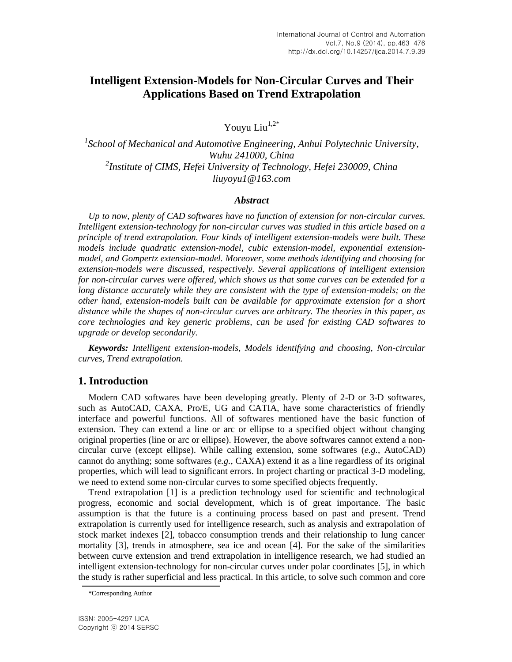# **Intelligent Extension-Models for Non-Circular Curves and Their Applications Based on Trend Extrapolation**

Youyu Liu $1,2^*$ 

<sup>1</sup> School of Mechanical and Automotive Engineering, Anhui Polytechnic University, *Wuhu 241000, China 2 Institute of CIMS, Hefei University of Technology, Hefei 230009, China liuyoyu1@163.com*

#### *Abstract*

*Up to now, plenty of CAD softwares have no function of extension for non-circular curves. Intelligent extension-technology for non-circular curves was studied in this article based on a principle of trend extrapolation. Four kinds of intelligent extension-models were built. These models include quadratic extension-model, cubic extension-model, exponential extensionmodel, and Gompertz extension-model. Moreover, some methods identifying and choosing for extension-models were discussed, respectively. Several applications of intelligent extension for non-circular curves were offered, which shows us that some curves can be extended for a long distance accurately while they are consistent with the type of extension-models; on the other hand, extension-models built can be available for approximate extension for a short distance while the shapes of non-circular curves are arbitrary. The theories in this paper, as core technologies and key generic problems, can be used for existing CAD softwares to upgrade or develop secondarily.*

*Keywords: Intelligent extension-models, Models identifying and choosing, Non-circular curves, Trend extrapolation.*

# **1. Introduction**

Modern CAD softwares have been developing greatly. Plenty of 2-D or 3-D softwares, such as AutoCAD, CAXA, Pro/E, UG and CATIA, have some characteristics of friendly interface and powerful functions. All of softwares mentioned have the basic function of extension. They can extend a line or arc or ellipse to a specified object without changing original properties (line or arc or ellipse). However, the above softwares cannot extend a noncircular curve (except ellipse). While calling extension, some softwares (*e.g.*, AutoCAD) cannot do anything; some softwares (*e.g.*, CAXA) extend it as a line regardless of its original properties, which will lead to significant errors. In project charting or practical 3-D modeling, we need to extend some non-circular curves to some specified objects frequently.

Trend extrapolation [1] is a prediction technology used for scientific and technological progress, economic and social development, which is of great importance. The basic assumption is that the future is a continuing process based on past and present. Trend extrapolation is currently used for intelligence research, such as analysis and extrapolation of stock market indexes [2], tobacco consumption trends and their relationship to lung cancer mortality [3], trends in atmosphere, sea ice and ocean [4]. For the sake of the similarities between curve extension and trend extrapolation in intelligence research, we had studied an intelligent extension-technology for non-circular curves under polar coordinates [5], in which the study is rather superficial and less practical. In this article, to solve such common and core

<sup>\*</sup>Corresponding Author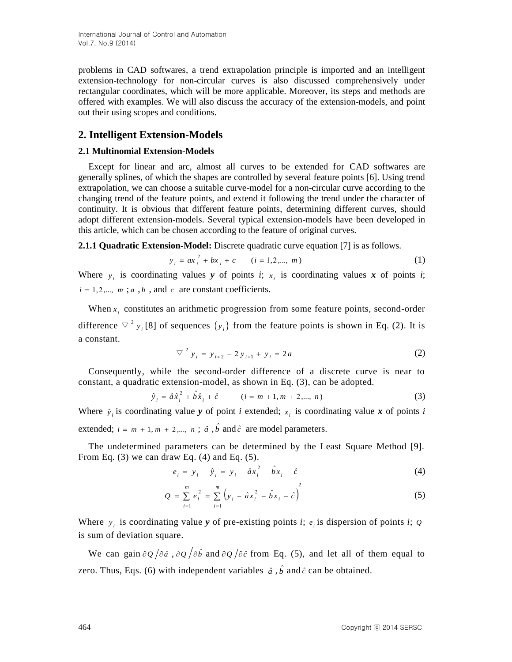problems in CAD softwares, a trend extrapolation principle is imported and an intelligent extension-technology for non-circular curves is also discussed comprehensively under rectangular coordinates, which will be more applicable. Moreover, its steps and methods are offered with examples. We will also discuss the accuracy of the extension-models, and point out their using scopes and conditions.

# **2. Intelligent Extension-Models**

### **2.1 Multinomial Extension-Models**

Except for linear and arc, almost all curves to be extended for CAD softwares are generally splines, of which the shapes are controlled by several feature points [6]. Using trend extrapolation, we can choose a suitable curve-model for a non-circular curve according to the changing trend of the feature points, and extend it following the trend under the character of continuity. It is obvious that different feature points, determining different curves, should adopt different extension-models. Several typical extension-models have been developed in this article, which can be chosen according to the feature of original curves.

**2.1.1 Quadratic Extension-Model:** Discrete quadratic curve equation [7] is as follows.

$$
y_i = ax_i^2 + bx_i + c \qquad (i = 1, 2, \dots, m)
$$
 (1)

Where  $y_i$  is coordinating values *y* of points *i*;  $x_i$  is coordinating values *x* of points *i*;  $i = 1, 2, \dots, m$ ; *a*, *b*, and *c* are constant coefficients.

When  $x_i$  constitutes an arithmetic progression from some feature points, second-order difference  $\nabla^2 y_i$  [8] of sequences  $\{y_i\}$  from the feature points is shown in Eq. (2). It is a constant.

$$
\nabla^2 y_i = y_{i+2} - 2y_{i+1} + y_i = 2a \tag{2}
$$

Consequently, while the second-order difference of a discrete curve is near to constant, a quadratic extension-model, as shown in Eq. (3), can be adopted.

$$
\hat{y}_i = \hat{a}\hat{x}_i^2 + \hat{b}\hat{x}_i + \hat{c} \qquad (i = m+1, m+2, ..., n)
$$
 (3)

Where  $\hat{y}_i$  is coordinating value *y* of point *i* extended;  $x_i$  is coordinating value *x* of points *i* extended;  $i = m + 1, m + 2, \dots, n$ ;  $\hat{a}$ ,  $\hat{b}$  and  $\hat{c}$  are model parameters.

The undetermined parameters can be determined by the Least Square Method [9]. From Eq.  $(3)$  we can draw Eq.  $(4)$  and Eq.  $(5)$ .

$$
e_i = y_i - \hat{y}_i = y_i - \hat{a}x_i^2 - \hat{b}x_i - \hat{c}
$$
 (4)

$$
Q = \sum_{i=1}^{m} e_i^2 = \sum_{i=1}^{m} \left( y_i - \hat{a} x_i^2 - \hat{b} x_i - \hat{c} \right)^2
$$
 (5)

Where  $y_i$  is coordinating value *y* of pre-existing points *i*;  $e_i$  is dispersion of points *i*;  $Q$ is sum of deviation square.

We can gain  $\partial Q / \partial \hat{a}$ ,  $\partial Q / \partial \hat{b}$  and  $\partial Q / \partial \hat{c}$  from Eq. (5), and let all of them equal to zero. Thus, Eqs. (6) with independent variables  $\hat{a}$ ,  $\hat{b}$  and  $\hat{c}$  can be obtained.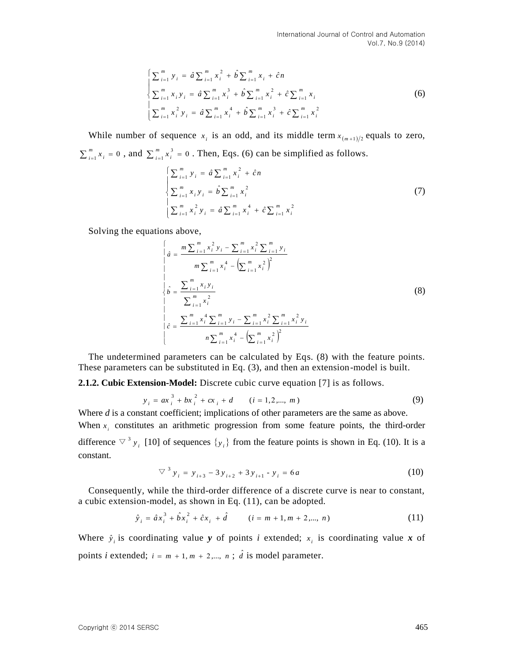$$
\begin{cases}\n\sum_{i=1}^{m} y_i = \hat{a} \sum_{i=1}^{m} x_i^2 + \hat{b} \sum_{i=1}^{m} x_i + \hat{c}n \\
\sum_{i=1}^{m} x_i y_i = \hat{a} \sum_{i=1}^{m} x_i^3 + \hat{b} \sum_{i=1}^{m} x_i^2 + \hat{c} \sum_{i=1}^{m} x_i \\
\sum_{i=1}^{m} x_i^2 y_i = \hat{a} \sum_{i=1}^{m} x_i^4 + \hat{b} \sum_{i=1}^{m} x_i^3 + \hat{c} \sum_{i=1}^{m} x_i^2\n\end{cases}
$$
\n(6)

While number of sequence  $x_i$  is an odd, and its middle term  $x_{m+1/2}$  equals to zero,  $\sum_{i=1}^{m} x_i = 0$ *m*  $\sum_{i=1}^{m} x_i = 0$ , and  $\sum_{i=1}^{m} x_i^3 = 0$  $\sum_{i=1}^{m} x_i^3 =$ *m*  $\int_{i=1}^{m} x_i^3 = 0$ . Then, Eqs. (6) can be simplified as follows.

$$
\begin{cases}\n\sum_{i=1}^{m} y_i = \hat{a} \sum_{i=1}^{m} x_i^2 + \hat{c}n \\
\sum_{i=1}^{m} x_i y_i = \hat{b} \sum_{i=1}^{m} x_i^2 \\
\sum_{i=1}^{m} x_i^2 y_i = \hat{a} \sum_{i=1}^{m} x_i^4 + \hat{c} \sum_{i=1}^{m} x_i^2\n\end{cases}
$$
\n(7)

Solving the equations above,

$$
\begin{cases}\n\hat{a} = \frac{m \sum_{i=1}^{m} x_i^2 y_i - \sum_{i=1}^{m} x_i^2 \sum_{i=1}^{m} y_i}{m \sum_{i=1}^{m} x_i^4 - (\sum_{i=1}^{m} x_i^2)^2} \\
\hat{b} = \frac{\sum_{i=1}^{m} x_i y_i}{\sum_{i=1}^{m} x_i^2} \\
\hat{c} = \frac{\sum_{i=1}^{m} x_i^4 \sum_{i=1}^{m} y_i - \sum_{i=1}^{m} x_i^2 \sum_{i=1}^{m} x_i^2 y_i}{n \sum_{i=1}^{m} x_i^4 - (\sum_{i=1}^{m} x_i^2)^2}\n\end{cases}
$$
\n(8)

The undetermined parameters can be calculated by Eqs. (8) with the feature points. These parameters can be substituted in Eq. (3), and then an extension-model is built.

**2.1.2. Cubic Extension-Model:** Discrete cubic curve equation [7] is as follows.

$$
y_i = ax_i^3 + bx_i^2 + cx_i + d \qquad (i = 1, 2, ..., m)
$$
 (9)

Where *d* is a constant coefficient; implications of other parameters are the same as above. When  $x_i$  constitutes an arithmetic progression from some feature points, the third-order difference  $\nabla^3 y_i$  [10] of sequences  $\{y_i\}$  from the feature points is shown in Eq. (10). It is a

$$
\nabla^3 y_i = y_{i+3} - 3y_{i+2} + 3y_{i+1} - y_i = 6a \tag{10}
$$

Consequently, while the third-order difference of a discrete curve is near to constant, a cubic extension-model, as shown in Eq. (11), can be adopted.

$$
\hat{y}_i = \hat{a}x_i^3 + \hat{b}x_i^2 + \hat{c}x_i + \hat{d} \qquad (i = m+1, m+2, ..., n)
$$
\n(11)

Where  $\hat{y}_i$  is coordinating value *y* of points *i* extended;  $x_i$  is coordinating value *x* of points *i* extended;  $i = m + 1, m + 2, \dots, n$ ;  $\hat{d}$  is model parameter.

constant.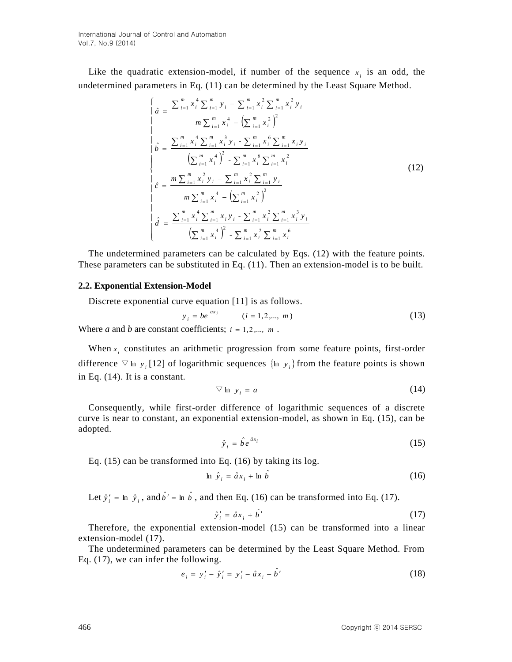Like the quadratic extension-model, if number of the sequence  $x_i$  is an odd, the undetermined parameters in Eq. (11) can be determined by the Least Square Method.

$$
\begin{cases}\n\hat{a} = \frac{\sum_{i=1}^{m} x_i^4 \sum_{i=1}^{m} y_i - \sum_{i=1}^{m} x_i^2 \sum_{i=1}^{m} x_i^2 y_i}{m \sum_{i=1}^{m} x_i^4 - (\sum_{i=1}^{m} x_i^2)^2} \\
\hat{b} = \frac{\sum_{i=1}^{m} x_i^4 \sum_{i=1}^{m} x_i^3 y_i - \sum_{i=1}^{m} x_i^6 \sum_{i=1}^{m} x_i y_i}{(\sum_{i=1}^{m} x_i^4)^2 - \sum_{i=1}^{m} x_i^6 \sum_{i=1}^{m} x_i^2} \\
\hat{c} = \frac{m \sum_{i=1}^{m} x_i^2 y_i - \sum_{i=1}^{m} x_i^2 \sum_{i=1}^{m} y_i}{m \sum_{i=1}^{m} x_i^4 - (\sum_{i=1}^{m} x_i^2)^2} \\
\hat{d} = \frac{\sum_{i=1}^{m} x_i^4 \sum_{i=1}^{m} x_i y_i - \sum_{i=1}^{m} x_i^2 \sum_{i=1}^{m} x_i^3 y_i}{(\sum_{i=1}^{m} x_i^4)^2 - \sum_{i=1}^{m} x_i^2 \sum_{i=1}^{m} x_i^6}\n\end{cases}
$$
\n(12)

The undetermined parameters can be calculated by Eqs. (12) with the feature points. These parameters can be substituted in Eq. (11). Then an extension-model is to be built.

#### **2.2. Exponential Extension-Model**

Discrete exponential curve equation [11] is as follows.

$$
y_i = be^{ax_i} \qquad (i = 1, 2, \dots, m)
$$
 (13)

Where *a* and *b* are constant coefficients;  $i = 1, 2, \dots, m$ .

When  $x_i$  constitutes an arithmetic progression from some feature points, first-order difference  $\nabla$  ln *y*<sub>i</sub> [12] of logarithmic sequences {ln *y*<sub>i</sub>} from the feature points is shown in Eq. (14). It is a constant.

$$
\nabla \ln y_i = a \tag{14}
$$

Consequently, while first-order difference of logarithmic sequences of a discrete curve is near to constant, an exponential extension-model, as shown in Eq. (15), can be adopted.

$$
\hat{y}_i = \hat{b}e^{\hat{a}x_i} \tag{15}
$$

Eq. (15) can be transformed into Eq. (16) by taking its log.

$$
\ln \hat{y}_i = \hat{a}x_i + \ln \hat{b} \tag{16}
$$

Let  $\hat{y}'_i = \ln \hat{y}_i$ , and  $\hat{b}' = \ln \hat{b}$ , and then Eq. (16) can be transformed into Eq. (17).

$$
\hat{y}'_i = \hat{a}x_i + \hat{b}' \tag{17}
$$

Therefore, the exponential extension-model (15) can be transformed into a linear extension-model (17).

The undetermined parameters can be determined by the Least Square Method. From Eq. (17), we can infer the following.

$$
e_i = y'_i - \hat{y}'_i = y'_i - \hat{a}x_i - \hat{b}' \tag{18}
$$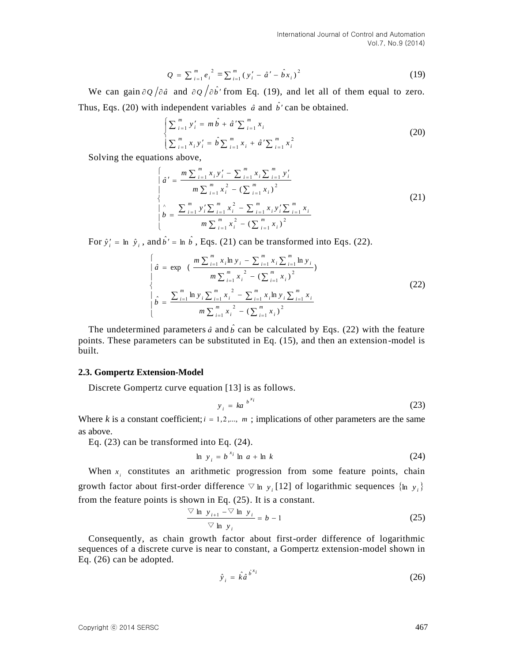$$
Q = \sum_{i=1}^{m} e_i^2 = \sum_{i=1}^{m} (y_i' - \hat{a}' - \hat{b}x_i)^2
$$
 (19)

We can gain  $\partial Q / \partial \hat{a}$  and  $\partial Q / \partial \hat{b}$  from Eq. (19), and let all of them equal to zero. Thus, Eqs. (20) with independent variables  $\hat{a}$  and  $\hat{b}$  can be obtained.

$$
\begin{cases} \sum_{i=1}^{m} y'_i = m \hat{b} + \hat{a}' \sum_{i=1}^{m} x_i \\ \sum_{i=1}^{m} x_i y'_i = \hat{b} \sum_{i=1}^{m} x_i + \hat{a}' \sum_{i=1}^{m} x_i^2 \end{cases}
$$
 (20)

Solving the equations above,

*Q* = 
$$
\sum_{i=1}^{n} (y_i^+ - \sum_{i=1}^{n} (y_i^+ - \hat{a}^t - \hat{b}x_i)^2
$$
 (19)  
\nWe can gain  $\partial \rho/\partial \hat{a}$  and  $\partial \rho/\partial \hat{b}^t$  from Eq. (19), and let all of them equal to zero.  
\nThus, Eqs. (20) with independent variables  $\hat{a}$  and  $\hat{b}^t$  can be obtained.  
\n
$$
\begin{cases}\n\sum_{i=1}^{n} y_i^+ = m\hat{b} + \hat{a}^t \sum_{i=1}^{n} x_i \\
\sum_{i=1}^{n} y_i^+ = \hat{b} \sum_{i=1}^{n} x_i + \hat{a}^t \sum_{i=1}^{n} x_i^2 \\
\text{Solving the equations above, } \\
\hat{a}^t = \frac{m \sum_{i=1}^{n} x_i y_i^+ - \sum_{i=1}^{n} x_i \sum_{i=1}^{n} y_i^2}{m \sum_{i=1}^{n} x_i^2 - (\sum_{i=1}^{n} x_i)^2}\n\end{cases}
$$
\n(21)  
\n
$$
\begin{cases}\n\hat{a}^t = \frac{m \sum_{i=1}^{n} y_i \sum_{i=1}^{n} x_i^2 - \sum_{i=1}^{n} x_i \sum_{i=1}^{n} y_i}{m \sum_{i=1}^{n} x_i^2 - (\sum_{i=1}^{n} x_i)^2}\n\end{cases}
$$
\n(22)  
\n
$$
\begin{cases}\n\hat{a} = \exp \left(\frac{m \sum_{i=1}^{n} x_i \sum_{i=1}^{n} x_i - \sum_{i=1}^{n} x_i \sum_{i=1}^{n} x_i}{m \sum_{i=1}^{n} x_i}\right)\n\end{cases}
$$
\n(22)  
\n
$$
\begin{cases}\n\hat{a} = \exp \left(\frac{m \sum_{i=1}^{n} x_i \ln y_i - \sum_{i=1}^{n} x_i \sum_{i=1}^{n} y_i}{m \sum_{i=1}^{n} x_i^2 - (\sum_{i=1}^{n} x_i)^2}\right)\n\end{cases}
$$
\nThe undetermined parameter  $\hat{a}$  and  $\hat{b}$  can be transformed into Eq. (22).  
\n<math display="</i>

For  $\hat{y}'_i = \ln \hat{y}_i$ , and  $\hat{b}' = \ln \hat{b}$ , Eqs. (21) can be transformed into Eqs. (22).

$$
\begin{cases}\n\hat{a} = \exp \left( \frac{m \sum_{i=1}^{m} x_i \ln y_i - \sum_{i=1}^{m} x_i \sum_{i=1}^{m} \ln y_i}{m \sum_{i=1}^{m} x_i^2 - (\sum_{i=1}^{m} x_i)^2}\right) \\
\hat{b} = \frac{\sum_{i=1}^{m} \ln y_i \sum_{i=1}^{m} x_i^2 - \sum_{i=1}^{m} x_i \ln y_i \sum_{i=1}^{m} x_i}{m \sum_{i=1}^{m} x_i^2 - (\sum_{i=1}^{m} x_i)^2}\n\end{cases}
$$
\n(22)

The undetermined parameters  $\hat{a}$  and  $\hat{b}$  can be calculated by Eqs. (22) with the feature points. These parameters can be substituted in Eq. (15), and then an extension-model is built.

#### **2.3. Gompertz Extension-Model**

Discrete Gompertz curve equation [13] is as follows.

$$
y_i = ka^{b^{x_i}} \tag{23}
$$

Where *k* is a constant coefficient;  $i = 1, 2, \dots, m$ ; implications of other parameters are the same as above.

Eq. (23) can be transformed into Eq. (24).

$$
\ln y_i = b^{x_i} \ln a + \ln k \tag{24}
$$

When  $x_i$  constitutes an arithmetic progression from some feature points, chain growth factor about first-order difference  $\nabla$  ln  $y_i$  [12] of logarithmic sequences  $\{\ln y_i\}$ from the feature points is shown in Eq. (25). It is a constant.

$$
\frac{\nabla \ln y_{i+1} - \nabla \ln y_i}{\nabla \ln y_i} = b - 1
$$
 (25)

Consequently, as chain growth factor about first-order difference of logarithmic sequences of a discrete curve is near to constant, a Gompertz extension-model shown in Eq. (26) can be adopted.

$$
\hat{y}_i = \hat{k} \hat{a}^{\hat{b}^{x_i}} \tag{26}
$$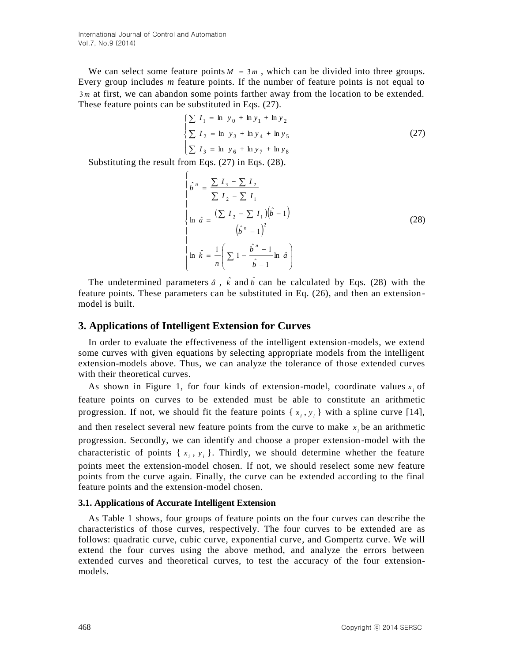We can select some feature points  $M = 3m$ , which can be divided into three groups. Every group includes *m* feature points. If the number of feature points is not equal to 3*m* at first, we can abandon some points farther away from the location to be extended. These feature points can be substituted in Eqs. (27).

$$
\begin{cases}\n\sum I_1 = \ln y_0 + \ln y_1 + \ln y_2 \\
\sum I_2 = \ln y_3 + \ln y_4 + \ln y_5 \\
\sum I_3 = \ln y_6 + \ln y_7 + \ln y_8\n\end{cases}
$$
\n(27)

Substituting the result from Eqs. (27) in Eqs. (28).  $\epsilon$ 

$$
\begin{vmatrix}\n\hat{b}^{n} = \frac{\sum I_{3} - \sum I_{2}}{\sum I_{2} - \sum I_{1}} \\
\ln \hat{a} = \frac{(\sum I_{2} - \sum I_{1})(\hat{b} - 1)}{(\hat{b}^{n} - 1)^{2}}\n\end{vmatrix}
$$
\n
$$
\ln \hat{k} = \frac{1}{n} \left( \sum 1 - \frac{\hat{b}^{n} - 1}{\hat{b} - 1} \ln \hat{a} \right)
$$
\n(28)

The undetermined parameters  $\hat{a}$ ,  $\hat{k}$  and  $\hat{b}$  can be calculated by Eqs. (28) with the feature points. These parameters can be substituted in Eq. (26), and then an extensionmodel is built.

# **3. Applications of Intelligent Extension for Curves**

In order to evaluate the effectiveness of the intelligent extension-models, we extend some curves with given equations by selecting appropriate models from the intelligent extension-models above. Thus, we can analyze the tolerance of those extended curves with their theoretical curves.

As shown in Figure 1, for four kinds of extension-model, coordinate values  $x_i$  of feature points on curves to be extended must be able to constitute an arithmetic progression. If not, we should fit the feature points  $\{x_i, y_i\}$  with a spline curve [14], and then reselect several new feature points from the curve to make  $x_i$  be an arithmetic progression. Secondly, we can identify and choose a proper extension-model with the characteristic of points  $\{x_i, y_i\}$ . Thirdly, we should determine whether the feature points meet the extension-model chosen. If not, we should reselect some new feature points from the curve again. Finally, the curve can be extended according to the final feature points and the extension-model chosen.

#### **3.1. Applications of Accurate Intelligent Extension**

As Table 1 shows, four groups of feature points on the four curves can describe the characteristics of those curves, respectively. The four curves to be extended are as follows: quadratic curve, cubic curve, exponential curve, and Gompertz curve. We will extend the four curves using the above method, and analyze the errors between extended curves and theoretical curves, to test the accuracy of the four extensionmodels.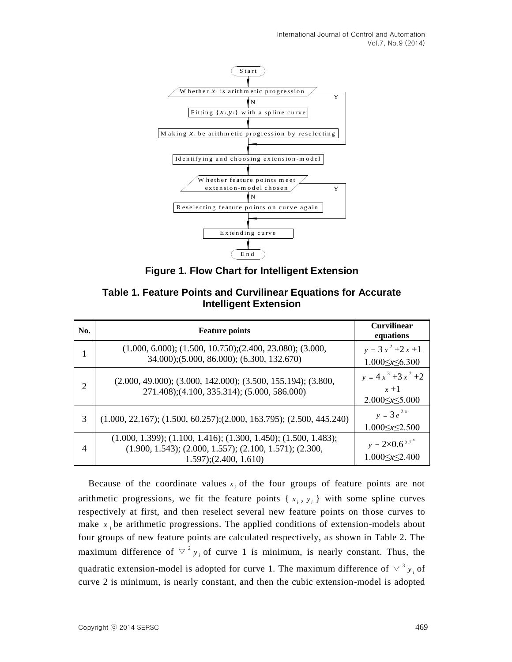



| No. | <b>Feature points</b>                                                                                                                                        | <b>Curvilinear</b><br>equations                             |
|-----|--------------------------------------------------------------------------------------------------------------------------------------------------------------|-------------------------------------------------------------|
| 1   | $(1.000, 6.000); (1.500, 10.750); (2.400, 23.080); (3.000,$<br>34.000);(5.000, 86.000); (6.300, 132.670)                                                     | $y = 3x^2 + 2x + 1$<br>$1.000 \le x \le 6.300$              |
| 2   | $(2.000, 49.000); (3.000, 142.000); (3.500, 155.194); (3.800,$<br>271.408);(4.100, 335.314); (5.000, 586.000)                                                | $y = 4x^3 + 3x^2 + 2$<br>$x + 1$<br>$2.000 \le x \le 5.000$ |
| 3   | $(1.000, 22.167); (1.500, 60.257); (2.000, 163.795); (2.500, 445.240)$                                                                                       | $y = 3e^{2x}$<br>$1.000 \le x \le 2.500$                    |
| 4   | $(1.000, 1.399); (1.100, 1.416); (1.300, 1.450); (1.500, 1.483);$<br>$(1.900, 1.543); (2.000, 1.557); (2.100, 1.571); (2.300,$<br>$1.597$ ; $(2.400, 1.610)$ | $y = 2 \times 0.6^{0.7}$<br>$1.000 \le x \le 2.400$         |

**Table 1. Feature Points and Curvilinear Equations for Accurate Intelligent Extension**

Because of the coordinate values  $x_i$  of the four groups of feature points are not arithmetic progressions, we fit the feature points  $\{x_i, y_i\}$  with some spline curves respectively at first, and then reselect several new feature points on those curves to make  $x_i$  be arithmetic progressions. The applied conditions of extension-models about four groups of new feature points are calculated respectively, as shown in Table 2. The maximum difference of  $\nabla^2 y_i$  of curve 1 is minimum, is nearly constant. Thus, the quadratic extension-model is adopted for curve 1. The maximum difference of  $\vee$ <sup>3</sup>  $y$ <sub>i</sub> of curve 2 is minimum, is nearly constant, and then the cubic extension-model is adopted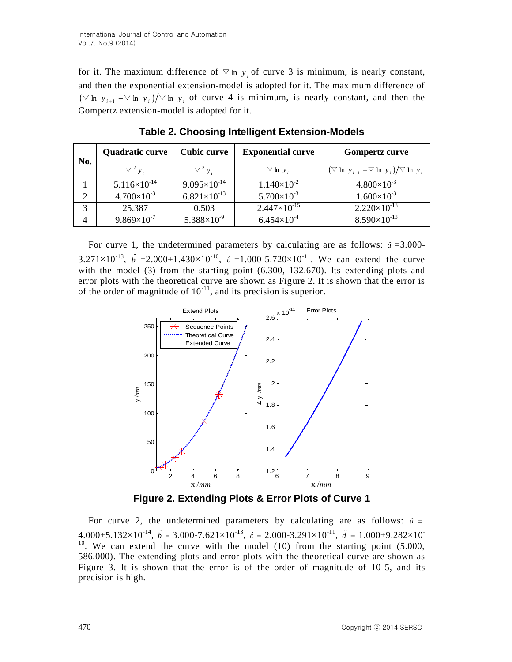for it. The maximum difference of  $\nabla$  ln  $y_i$  of curve 3 is minimum, is nearly constant, and then the exponential extension-model is adopted for it. The maximum difference of  $(\nabla \ln y_{i+1} - \nabla \ln y_i)/\nabla \ln y_i$  of curve 4 is minimum, is nearly constant, and then the Gompertz extension-model is adopted for it.

| No. | <b>Quadratic curve</b> | <b>Cubic curve</b>      | <b>Exponential curve</b> | <b>Gompertz curve</b>                                  |
|-----|------------------------|-------------------------|--------------------------|--------------------------------------------------------|
|     | $\nabla^2 y_i$         | $\nabla^3 y_i$          | $\nabla$ ln y;           | $(\nabla \ln y_{i+1} - \nabla \ln y_i)/\nabla \ln y_i$ |
|     | $5.116\times10^{-14}$  | $9.095 \times 10^{-14}$ | $1.140\times10^{-2}$     | $4.800\times10^{-3}$                                   |
| ◠   | $4.700\times10^{-3}$   | $6.821\times10^{-13}$   | $5.700\times10^{-3}$     | $1.600\times10^{-3}$                                   |
| 2   | 25.387                 | 0.503                   | $2.447\times10^{-15}$    | $2.220\times10^{-13}$                                  |
|     | $9.869\times10^{-7}$   | $5.388\times10^{-9}$    | $6.454\times10^{-4}$     | $8.590\times10^{-13}$                                  |

**Table 2. Choosing Intelligent Extension-Models**

For curve 1, the undetermined parameters by calculating are as follows:  $\hat{a} = 3.000$ -3.271×10<sup>-13</sup>,  $\hat{b}$  =2.000+1.430×10<sup>-10</sup>,  $\hat{c}$  =1.000-5.720×10<sup>-11</sup>. We can extend the curve with the model (3) from the starting point (6.300, 132.670). Its extending plots and error plots with the theoretical curve are shown as Figure 2. It is shown that the error is of the order of magnitude of  $10^{-11}$ , and its precision is superior.



**Figure 2. Extending Plots & Error Plots of Curve 1**

For curve 2, the undetermined parameters by calculating are as follows:  $\hat{a}$  =  $4.000+5.132\times10^{-14}$ ,  $\hat{b} = 3.000-7.621\times10^{-13}$ ,  $\hat{c} = 2.000-3.291\times10^{-11}$ ,  $\hat{d} = 1.000+9.282\times10^{-10}$  $10$ . We can extend the curve with the model (10) from the starting point (5.000, 586.000). The extending plots and error plots with the theoretical curve are shown as Figure 3. It is shown that the error is of the order of magnitude of 10-5, and its precision is high.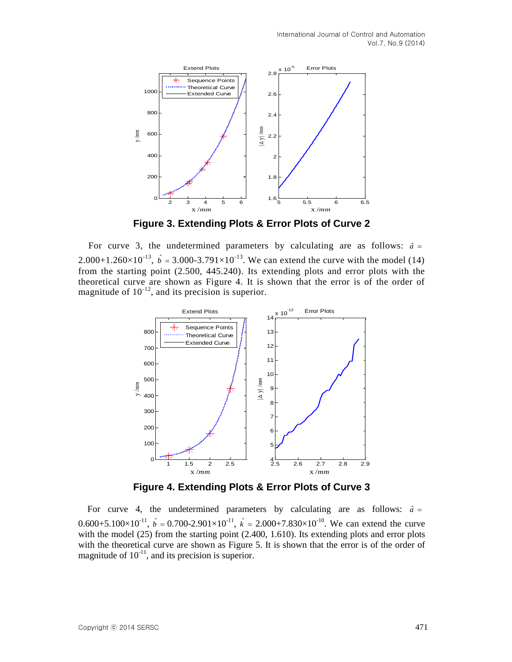

**Figure 3. Extending Plots & Error Plots of Curve 2**

For curve 3, the undetermined parameters by calculating are as follows:  $\hat{a}$  = 2.000+1.260×10<sup>-13</sup>,  $\hat{b} = 3.000$ -3.791×10<sup>-13</sup>. We can extend the curve with the model (14) from the starting point (2.500, 445.240). Its extending plots and error plots with the theoretical curve are shown as Figure 4. It is shown that the error is of the order of magnitude of  $10^{-12}$ , and its precision is superior.



**Figure 4. Extending Plots & Error Plots of Curve 3**

For curve 4, the undetermined parameters by calculating are as follows:  $\hat{a}$  = 0.600+5.100×10<sup>-11</sup>,  $\hat{b} = 0.700$ -2.901×10<sup>-11</sup>,  $\hat{k} = 2.000+7.830\times10^{-10}$ . We can extend the curve with the model (25) from the starting point (2.400, 1.610). Its extending plots and error plots with the theoretical curve are shown as Figure 5. It is shown that the error is of the order of magnitude of  $10^{-11}$ , and its precision is superior.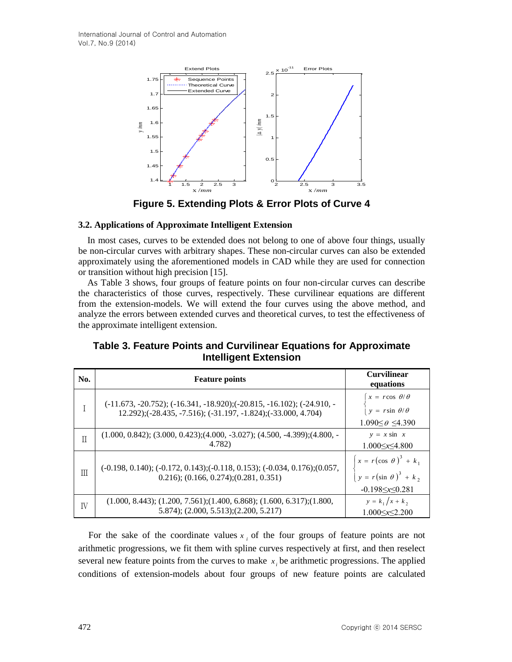

**Figure 5. Extending Plots & Error Plots of Curve 4**

# **3.2. Applications of Approximate Intelligent Extension**

In most cases, curves to be extended does not belong to one of above four things, usually be non-circular curves with arbitrary shapes. These non-circular curves can also be extended approximately using the aforementioned models in CAD while they are used for connection or transition without high precision [15].

As Table 3 shows, four groups of feature points on four non-circular curves can describe the characteristics of those curves, respectively. These curvilinear equations are different from the extension-models. We will extend the four curves using the above method, and analyze the errors between extended curves and theoretical curves, to test the effectiveness of the approximate intelligent extension.

| <b>Intelligent Extension</b> |                       |                                 |  |  |
|------------------------------|-----------------------|---------------------------------|--|--|
| No.                          | <b>Feature points</b> | <b>Curvilinear</b><br>equations |  |  |

**Table 3. Feature Points and Curvilinear Equations for Approximate** 

| No. | <b>Feature points</b>                                                                                                                                          | Curvilinear<br>equations                                                                 |
|-----|----------------------------------------------------------------------------------------------------------------------------------------------------------------|------------------------------------------------------------------------------------------|
|     | $(-11.673, -20.752); (-16.341, -18.920); (-20.815, -16.102); (-24.910, -16.102);$<br>$12.292$ ;( $-28.435, -7.516$ ); $(-31.197, -1.824)$ ; $(-33.000, 4.704)$ | $x = r \cos \theta/\theta$<br>$y = r \sin \theta/\theta$<br>$1.090 \le \theta \le 4.390$ |
| Π   | $(1.000, 0.842); (3.000, 0.423); (4.000, -3.027); (4.500, -4.399); (4.800, -4.399);$<br>4.782)                                                                 | $y = x \sin x$<br>$1.000 \le x \le 4.800$                                                |
| Ш   | $(-0.198, 0.140); (-0.172, 0.143); (-0.118, 0.153); (-0.034, 0.176); (0.057,$<br>$0.216$ ; $(0.166, 0.274)$ ; $(0.281, 0.351)$                                 | $x = r(\cos \theta)^3 + k_1$<br>$y = r(\sin \theta)^3 + k_2$<br>$-0.198 \le x \le 0.281$ |
| IV  | $(1.000, 8.443); (1.200, 7.561); (1.400, 6.868); (1.600, 6.317); (1.800,$<br>5.874); (2.000, 5.513); (2.200, 5.217)                                            | $y = k_1/x + k_2$<br>$1.000 \le x \le 2.200$                                             |

For the sake of the coordinate values  $x_i$  of the four groups of feature points are not arithmetic progressions, we fit them with spline curves respectively at first, and then reselect several new feature points from the curves to make  $x_i$  be arithmetic progressions. The applied conditions of extension-models about four groups of new feature points are calculated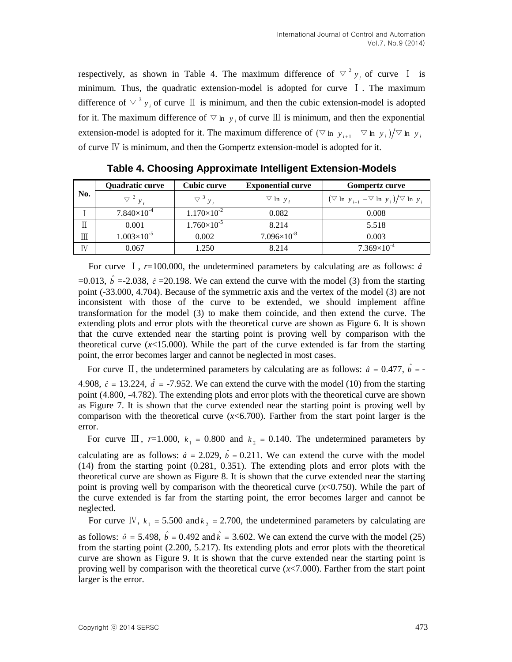respectively, as shown in Table 4. The maximum difference of  $\nabla^2 y_i$  of curve I is minimum. Thus, the quadratic extension-model is adopted for curve I. The maximum difference of  $\vee$ <sup>3</sup>  $y_i$  of curve  $\Box$  is minimum, and then the cubic extension-model is adopted for it. The maximum difference of  $\nabla$  ln  $y_i$  of curve  $\mathbb{II}$  is minimum, and then the exponential extension-model is adopted for it. The maximum difference of  $(\nabla \ln y_{i+1} - \nabla \ln y_i)/\nabla \ln y_i$ of curve Ⅳ is minimum, and then the Gompertz extension-model is adopted for it.

| No. | Quadratic curve      | <b>Cubic curve</b>   | <b>Exponential curve</b> | <b>Gompertz curve</b>                                  |
|-----|----------------------|----------------------|--------------------------|--------------------------------------------------------|
|     | $\nabla^2 y_i$       | $\nabla^3 y_i$       | $\nabla$ ln y,           | $(\nabla \ln y_{i+1} - \nabla \ln y_i)/\nabla \ln y_i$ |
|     | $7.840\times10^{-4}$ | $1.170\times10^{-2}$ | 0.082                    | 0.008                                                  |
|     | 0.001                | $1.760\times10^{-5}$ | 8.214                    | 5.518                                                  |
| Ш   | $1.003\times10^{-5}$ | 0.002                | $7.096\times10^{-8}$     | 0.003                                                  |
| ΙV  | 0.067                | 1.250                | 8.214                    | $7.369\times10^{-4}$                                   |

**Table 4. Choosing Approximate Intelligent Extension-Models**

For curve  $\overline{1}$ ,  $r=100.000$ , the undetermined parameters by calculating are as follows:  $\hat{a}$  $=0.013$ ,  $\hat{b} = -2.038$ ,  $\hat{c} = 20.198$ . We can extend the curve with the model (3) from the starting point (-33.000, 4.704). Because of the symmetric axis and the vertex of the model (3) are not inconsistent with those of the curve to be extended, we should implement affine transformation for the model (3) to make them coincide, and then extend the curve. The extending plots and error plots with the theoretical curve are shown as Figure 6. It is shown that the curve extended near the starting point is proving well by comparison with the theoretical curve  $(x<15.000)$ . While the part of the curve extended is far from the starting point, the error becomes larger and cannot be neglected in most cases.

For curve  $\Box$ , the undetermined parameters by calculating are as follows:  $\hat{a} = 0.477$ ,  $\hat{b} = -$ 4.908,  $\hat{c} = 13.224$ ,  $\hat{d} = -7.952$ . We can extend the curve with the model (10) from the starting point (4.800, -4.782). The extending plots and error plots with the theoretical curve are shown as Figure 7. It is shown that the curve extended near the starting point is proving well by comparison with the theoretical curve (*x*<6.700). Farther from the start point larger is the error.

For curve  $\text{III}$ ,  $r=1.000$ ,  $k_1 = 0.800$  and  $k_2 = 0.140$ . The undetermined parameters by

calculating are as follows:  $\hat{a} = 2.029$ ,  $\hat{b} = 0.211$ . We can extend the curve with the model (14) from the starting point (0.281, 0.351). The extending plots and error plots with the theoretical curve are shown as Figure 8. It is shown that the curve extended near the starting point is proving well by comparison with the theoretical curve  $(x<0.750)$ . While the part of the curve extended is far from the starting point, the error becomes larger and cannot be neglected.

For curve IV,  $k_1 = 5.500$  and  $k_2 = 2.700$ , the undetermined parameters by calculating are

as follows:  $\hat{a} = 5.498$ ,  $\hat{b} = 0.492$  and  $\hat{k} = 3.602$ . We can extend the curve with the model (25) from the starting point (2.200, 5.217). Its extending plots and error plots with the theoretical curve are shown as Figure 9. It is shown that the curve extended near the starting point is proving well by comparison with the theoretical curve (*x*<7.000). Farther from the start point larger is the error.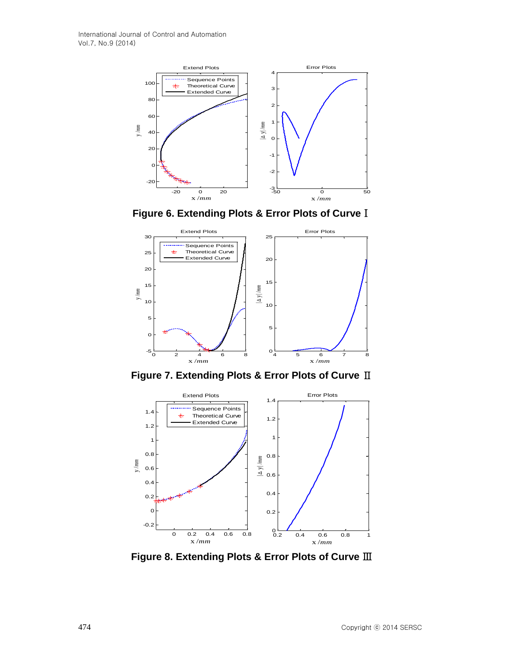

**Figure 6. Extending Plots & Error Plots of Curve**Ⅰ



**Figure 7. Extending Plots & Error Plots of Curve** Ⅱ



**Figure 8. Extending Plots & Error Plots of Curve** Ⅲ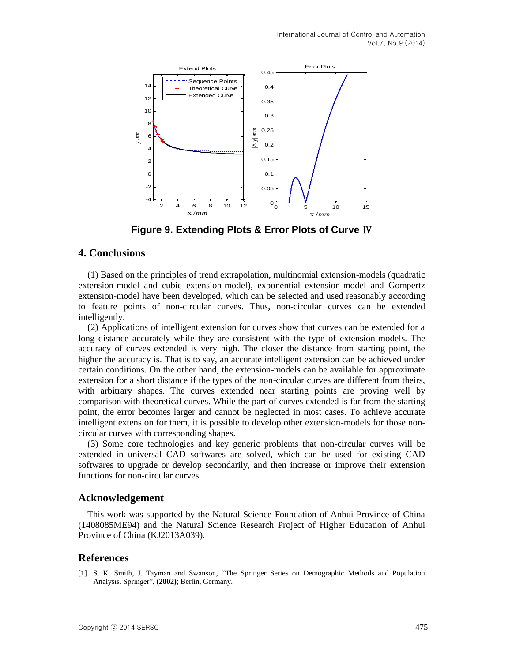

**Figure 9. Extending Plots & Error Plots of Curve** Ⅳ

# **4. Conclusions**

(1) Based on the principles of trend extrapolation, multinomial extension-models (quadratic extension-model and cubic extension-model), exponential extension-model and Gompertz extension-model have been developed, which can be selected and used reasonably according to feature points of non-circular curves. Thus, non-circular curves can be extended intelligently.

(2) Applications of intelligent extension for curves show that curves can be extended for a long distance accurately while they are consistent with the type of extension-models. The accuracy of curves extended is very high. The closer the distance from starting point, the higher the accuracy is. That is to say, an accurate intelligent extension can be achieved under certain conditions. On the other hand, the extension-models can be available for approximate extension for a short distance if the types of the non-circular curves are different from theirs, with arbitrary shapes. The curves extended near starting points are proving well by comparison with theoretical curves. While the part of curves extended is far from the starting point, the error becomes larger and cannot be neglected in most cases. To achieve accurate intelligent extension for them, it is possible to develop other extension-models for those noncircular curves with corresponding shapes.

(3) Some core technologies and key generic problems that non-circular curves will be extended in universal CAD softwares are solved, which can be used for existing CAD softwares to upgrade or develop secondarily, and then increase or improve their extension functions for non-circular curves.

#### **Acknowledgement**

This work was supported by the Natural Science Foundation of Anhui Province of China (1408085ME94) and the Natural Science Research Project of Higher Education of Anhui Province of China (KJ2013A039).

### **References**

[1] S. K. Smith, J. Tayman and Swanson, "The Springer Series on Demographic Methods and Population Analysis. Springer", **(2002)**; Berlin, Germany.